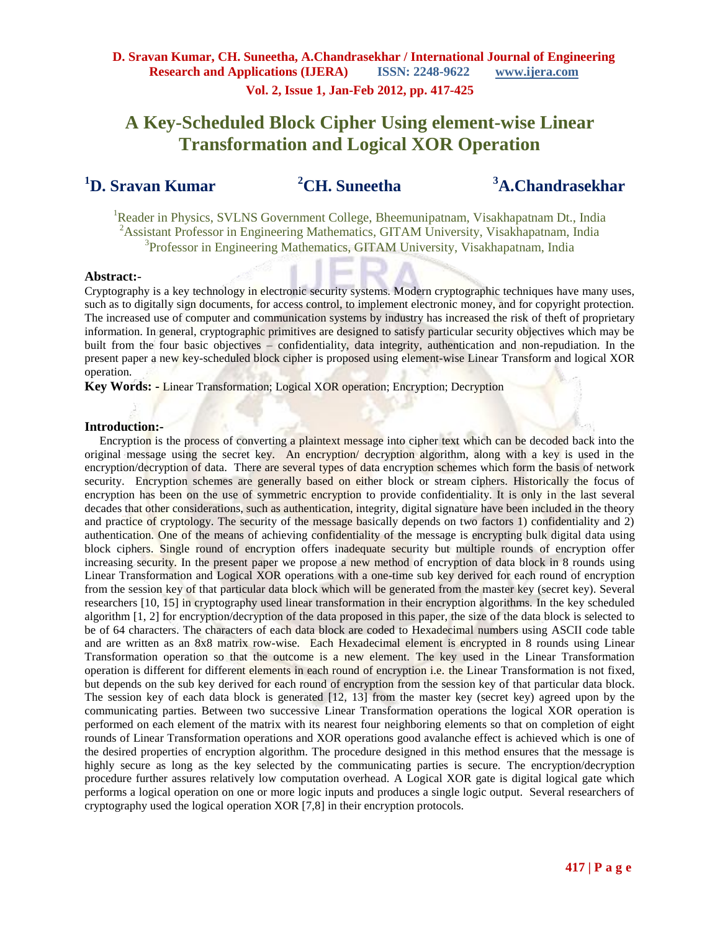# **A Key-Scheduled Block Cipher Using element-wise Linear Transformation and Logical XOR Operation**

## **<sup>1</sup>D. Sravan Kumar**

**<sup>2</sup>CH. Suneetha** 

**<sup>3</sup>A.Chandrasekhar**

<sup>1</sup>Reader in Physics, SVLNS Government College, Bheemunipatnam, Visakhapatnam Dt., India <sup>2</sup>Assistant Professor in Engineering Mathematics, GITAM University, Visakhapatnam, India 3 Professor in Engineering Mathematics, GITAM University, Visakhapatnam, India

#### **Abstract:**-

Cryptography is a key technology in electronic security systems. Modern cryptographic techniques have many uses, such as to digitally sign documents, for access control, to implement electronic money, and for copyright protection. The increased use of computer and communication systems by industry has increased the risk of theft of proprietary information. In general, cryptographic primitives are designed to satisfy particular security objectives which may be built from the four basic objectives – confidentiality, data integrity, authentication and non-repudiation. In the present paper a new key-scheduled block cipher is proposed using element-wise Linear Transform and logical XOR operation.

**Key Words: -** Linear Transformation; Logical XOR operation; Encryption; Decryption

#### **Introduction:-**

 Encryption is the process of converting a plaintext message into cipher text which can be decoded back into the original message using the secret key. An encryption/ decryption algorithm, along with a key is used in the encryption/decryption of data. There are several types of data encryption schemes which form the basis of network security. Encryption schemes are generally based on either block or stream ciphers. Historically the focus of encryption has been on the use of symmetric encryption to provide confidentiality. It is only in the last several decades that other considerations, such as authentication, integrity, digital signature have been included in the theory and practice of cryptology. The security of the message basically depends on two factors 1) confidentiality and 2) authentication. One of the means of achieving confidentiality of the message is encrypting bulk digital data using block ciphers. Single round of encryption offers inadequate security but multiple rounds of encryption offer increasing security. In the present paper we propose a new method of encryption of data block in 8 rounds using Linear Transformation and Logical XOR operations with a one-time sub key derived for each round of encryption from the session key of that particular data block which will be generated from the master key (secret key). Several researchers [10, 15] in cryptography used linear transformation in their encryption algorithms. In the key scheduled algorithm [1, 2] for encryption/decryption of the data proposed in this paper, the size of the data block is selected to be of 64 characters. The characters of each data block are coded to Hexadecimal numbers using ASCII code table and are written as an 8x8 matrix row-wise. Each Hexadecimal element is encrypted in 8 rounds using Linear Transformation operation so that the outcome is a new element. The key used in the Linear Transformation operation is different for different elements in each round of encryption i.e. the Linear Transformation is not fixed, but depends on the sub key derived for each round of encryption from the session key of that particular data block. The session key of each data block is generated [12, 13] from the master key (secret key) agreed upon by the communicating parties. Between two successive Linear Transformation operations the logical XOR operation is performed on each element of the matrix with its nearest four neighboring elements so that on completion of eight rounds of Linear Transformation operations and XOR operations good avalanche effect is achieved which is one of the desired properties of encryption algorithm. The procedure designed in this method ensures that the message is highly secure as long as the key selected by the communicating parties is secure. The encryption/decryption procedure further assures relatively low computation overhead. A Logical XOR gate is digital logical gate which performs a logical operation on one or more logic inputs and produces a single logic output. Several researchers of cryptography used the logical operation XOR [7,8] in their encryption protocols.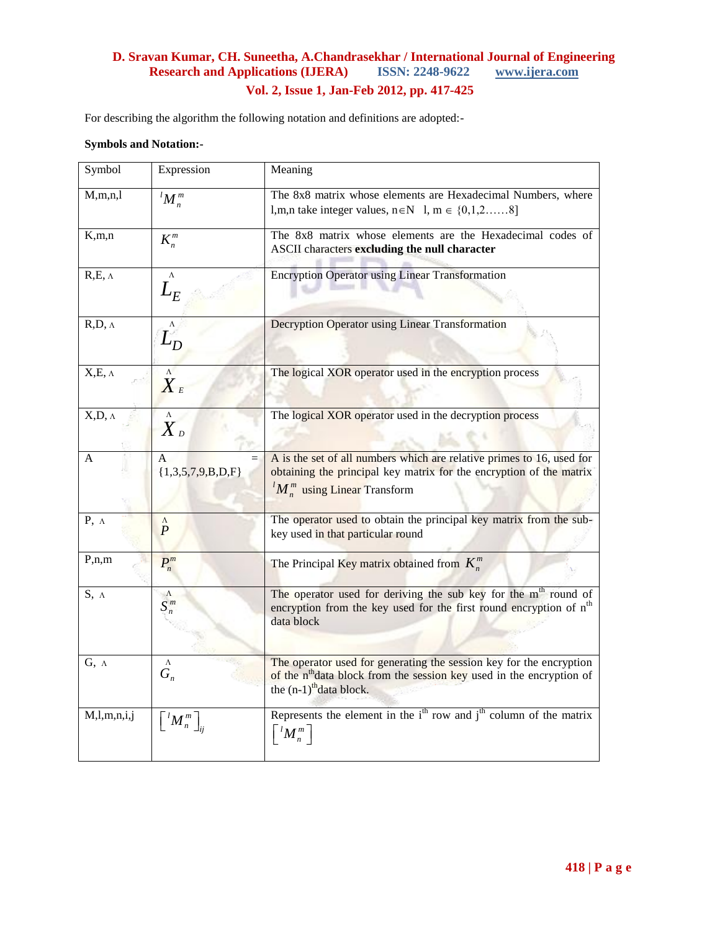For describing the algorithm the following notation and definitions are adopted:-

#### **Symbols and Notation:-**

| Symbol           | Expression                                               | Meaning                                                                                                                                                                                          |
|------------------|----------------------------------------------------------|--------------------------------------------------------------------------------------------------------------------------------------------------------------------------------------------------|
| M, m, n, l       | $M_n^m$                                                  | The 8x8 matrix whose elements are Hexadecimal Numbers, where<br>l, m, n take integer values, $n \in N$ 1, $m \in \{0, 1, 2, \dots, 8\}$                                                          |
| K, m, n          | $K_n^m$                                                  | The 8x8 matrix whose elements are the Hexadecimal codes of<br>ASCII characters excluding the null character                                                                                      |
| $R,E, \Lambda$   | $\Lambda$<br>${\cal L}_E$                                | <b>Encryption Operator using Linear Transformation</b>                                                                                                                                           |
| $R,D, \Lambda$   | $\Lambda$<br>$L_D$                                       | Decryption Operator using Linear Transformation                                                                                                                                                  |
| $X,E, \Lambda$   | $\Lambda$<br>$\boldsymbol{X}_{\scriptscriptstyle{E}}$    | The logical XOR operator used in the encryption process                                                                                                                                          |
| $X,D, \Lambda$   | $\Lambda$<br>$\boldsymbol{X}$ $_{\scriptscriptstyle{D}}$ | The logical XOR operator used in the decryption process                                                                                                                                          |
| A                | A<br>$=$<br>${1,3,5,7,9,B,D,F}$                          | A is the set of all numbers which are relative primes to 16, used for<br>obtaining the principal key matrix for the encryption of the matrix<br>${}^{l}M_{n}^{m}$ using Linear Transform         |
| $P, \Lambda$     | $\Lambda$<br>$\overline{P}$                              | The operator used to obtain the principal key matrix from the sub-<br>key used in that particular round                                                                                          |
| P,n,m            | $P_n^m$                                                  | The Principal Key matrix obtained from $K_n^m$                                                                                                                                                   |
| $S, \Lambda$     | $\Lambda$<br>$S_n^m$                                     | The operator used for deriving the sub key for the m <sup>th</sup> round of<br>encryption from the key used for the first round encryption of n <sup>th</sup><br>data block                      |
| $G, \Lambda$     | $\Lambda$<br>$G_n$                                       | The operator used for generating the session key for the encryption<br>of the n <sup>th</sup> data block from the session key used in the encryption of<br>the $(n-1)$ <sup>th</sup> data block. |
| M, l, m, n, i, j | $\left\{ M_{n}^{m}\right\}$                              | Represents the element in the $ith$ row and $jth$ column of the matrix<br>$\left\lceil\frac{l}{M}_n^m\right\rceil$                                                                               |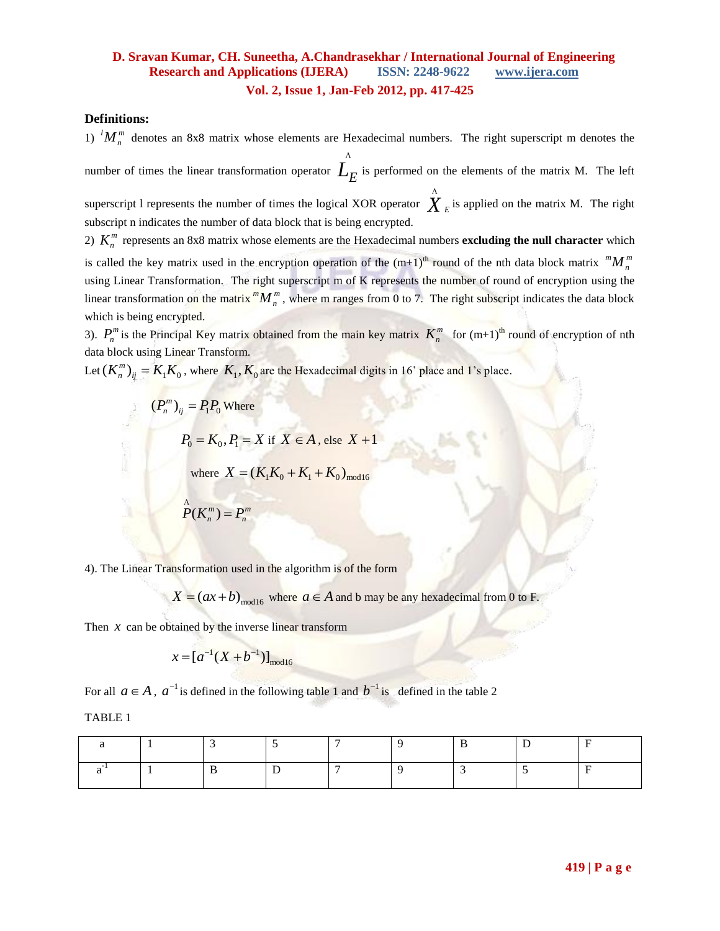#### **Definitions:**

1)  $^{l}M_{n}^{m}$  denotes an 8x8 matrix whose elements are Hexadecimal numbers. The right superscript m denotes the

number of times the linear transformation operator  $L_E$  is performed on the elements of the matrix M. The left Λ

superscript 1 represents the number of times the logical XOR operator  $\stackrel{\wedge}{X}_E$ is applied on the matrix M. The right subscript n indicates the number of data block that is being encrypted.

2)  $K_n^m$  represents an 8x8 matrix whose elements are the Hexadecimal numbers **excluding the null character** which is called the key matrix used in the encryption operation of the  $(m+1)^{th}$  round of the nth data block matrix  ${}^m M_n^m$ using Linear Transformation. The right superscript m of K represents the number of round of encryption using the linear transformation on the matrix  $^{m}M_{n}^{m}$ , where m ranges from 0 to 7. The right subscript indicates the data block which is being encrypted.

3).  $P_n^m$  is the Principal Key matrix obtained from the main key matrix  $K_n^m$  for  $(m+1)^{th}$  round of encryption of nth data block using Linear Transform.

Let  $(K_n^m)_{ij} = K_1 K_0$ , where  $K_1, K_0$  are the Hexadecimal digits in 16' place and 1's place.

$$
(P_n^m)_{ij} = P_1 P_0 \text{ Where}
$$
  

$$
P_0 = K_0, P_1 = X \text{ if } X \in A, \text{ else } X + 1
$$
  
where  $X = (K_1 K_0 + K_1 + K_0)_{\text{mod}16}$   

$$
P(K_n^m) = P_n^m
$$

4). The Linear Transformation used in the algorithm is of the form

 $X = (ax + b)_{\text{mod16}}$  where  $a \in A$  and b may be any hexadecimal from 0 to F.

Then  $x$  can be obtained by the inverse linear transform

$$
x = [a^{-1}(X + b^{-1})]_{\text{mod } 16}
$$

For all  $a \in A$ ,  $a^{-1}$  is defined in the following table 1 and  $b^{-1}$  is defined in the table 2

TABLE 1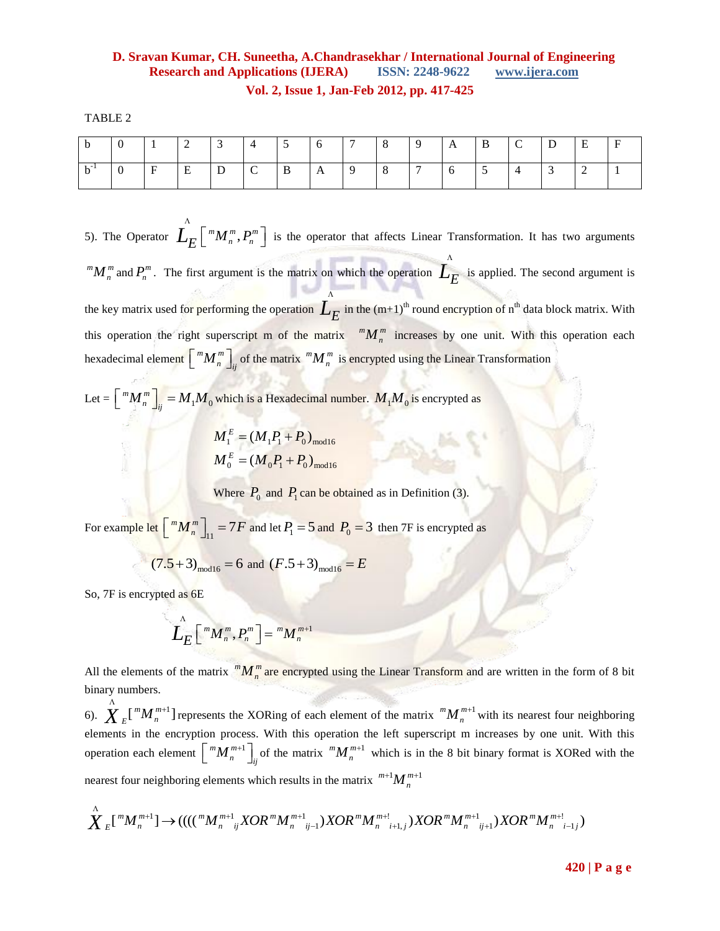TABLE 2

|  |   |   |  | $\mathcal{D}$ |              |   | 9 | A | D | ◡ | E |  |
|--|---|---|--|---------------|--------------|---|---|---|---|---|---|--|
|  | E | . |  | π             | $\mathbf{A}$ | ◡ |   |   |   |   |   |  |

5). The Operator  $L_E\left[ \int m \, m \, m \, P_n \right]$  $\int_{E}^{N} \left[ {}^{m}M_{n}^{m}, P_{n}^{m} \right]$  is the operator that affects Linear Transformation. It has two arguments  $M_n^m$  and  $P_n^m$ . The first argument is the matrix on which the operation  $\frac{1}{E}$ is applied. The second argument is the key matrix used for performing the operation  $L_E$  in the  $(m+1)$ <sup>th</sup> round encryption of n<sup>th</sup> data block matrix. With Λ this operation the right superscript m of the matrix  $^{m}M_{n}^{m}$  increases by one unit. With this operation each hexadecimal element  $\sqrt{m} M_n^m$  $\lfloor m M_n^m \rfloor$  of the matrix  $m M_n^m$  is encrypted using the Linear Transformation

Let =  $\left| \begin{array}{c} ^{m}M_{n}^{m} \end{array} \right|_{ii} = M_{1}M_{0}$ *m m*  $\left[ \int_{i}^{m} M_{n}^{m} \right]_{i} = M_{1} M_{0}$  which is a Hexadecimal number.  $M_{1} M_{0}$  is encrypted as

$$
M_1^E = (M_1 P_1 + P_0)_{\text{mod 16}}
$$
  

$$
M_0^E = (M_0 P_1 + P_0)_{\text{mod 16}}
$$

**EXECUTE:** Where  $P_0$  and  $P_1$  can be obtained as in Definition (3).

For example let  $\begin{bmatrix} ^{m}M_{n}^{m} \end{bmatrix}_{11} = 7F$  and let  $P_{1} = 5$  and  $P_{0} = 3$  then 7F is encrypted as

$$
(7.5+3)_{\text{mod }16} = 6
$$
 and  $(F.5+3)_{\text{mod }16} = E$ 

So, 7F is encrypted as 6E

$$
\mathbf{\hat{L}}_{E} \left[ \sqrt[m]{M_n^m}, P_n^m \right] = \sqrt[m]{M_n^{m+1}}
$$

All the elements of the matrix  $^{m}M_{n}^{m}$  are encrypted using the Linear Transform and are written in the form of 8 bit binary numbers.

6).  $\sum_{E}$ [ $^{m}M_{n}^{m+1}$ ]  $\sum_{k=1}^{N} \binom{m}{k} \binom{m}{k}$  represents the XORing of each element of the matrix  $\binom{m}{k} \binom{m}{k}$  $+1$  with its nearest four neighboring elements in the encryption process. With this operation the left superscript m increases by one unit. With this operation each element  $\lceil m M \rceil^{m+1}$  $\left[ \int_{n}^{m} M_{n}^{m+1} \right]_{ij}$  of the matrix  $\binom{m}{n}$  $+1$  which is in the 8 bit binary format is XORed with the nearest four neighboring elements which results in the matrix  $^{m+1}M_n^{m+1}$ 

nearest four neighboring elements which results in the matrix 
$$
{}^{m+1}M_n^{m+1}
$$
  
\n $\overset{\wedge}{X}_E[^mM_n^{m+1}] \rightarrow (((({}^mM_n^{m+1}{}_{ij}XOR^mM_n^{m+1}{}_{j-1})XOR^mM_n^{m+1}{}_{i+1,j})XOR^mM_n^{m+1}{}_{j+1})XOR^mM_n^{m+1}{}_{j+1,j})$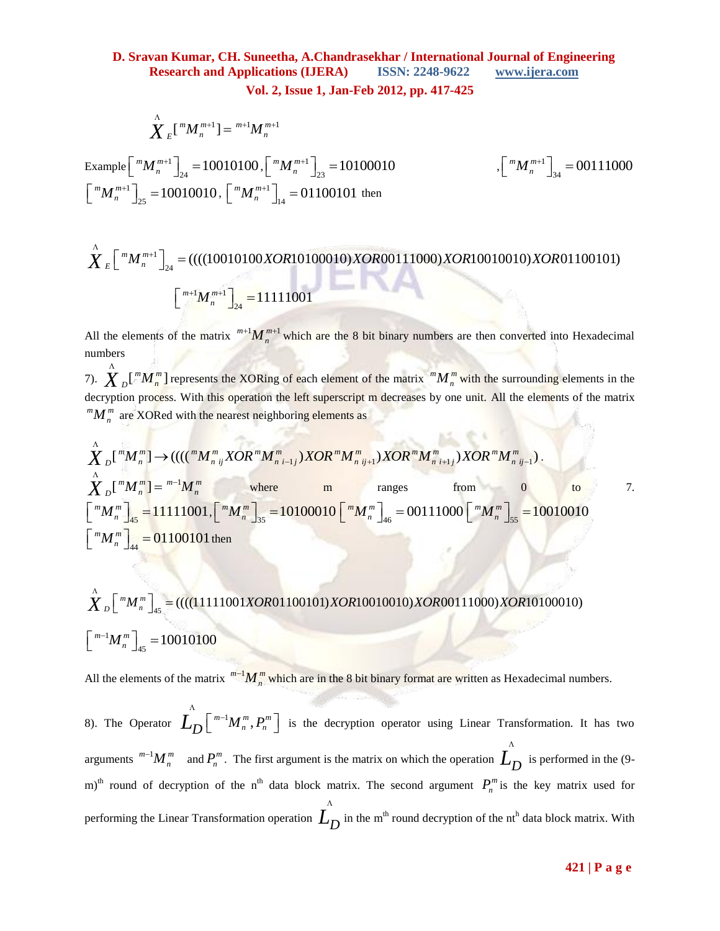$$
\sum_{n=1}^{N} \binom{m}{n} m^{m+1} = \binom{m+1}{n} m^{m+1}
$$

Λ

Example  $\lceil m_{m}^{m+1} \rceil$  $\left[\sum_{24}^{m+1}\right]_{24} = 10010100$  $\left[ \int_{1}^{m} M_{n}^{m+1} \right]_{24} = 10010100, \left[ \int_{1}^{m} M_{n}^{m+1} \right]_{24}$  $\left[\sum_{n=1}^{m} M_{n=1}^{m+1}\right]_{23} = 10100010$  $\left[ \int_{n}^{m} M_{n}^{m+1} \right]_{23} =$ 1  $\left[\sum_{n=1}^{m} M_{n}^{m+1}\right]_{25} = 10010010$  $\left[ \int_{0}^{m} M_{n}^{m+1} \right]_{25} = 10010010, \left[ \int_{0}^{m} M_{n}^{m+1} \right]_{25}$  $\left[\sum_{n=1}^{m} M_{n}^{m+1}\right]_{14} = 01100101$ 

$$
\left[\,{}^{m}M_{n}^{m+1}\,\right]_{34}=00111000
$$

$$
\left[\begin{array}{c}{}^{m}M_{n}^{m+1}\end{array}\right]_{25} = 10010010, \left[\begin{array}{c}{}^{m}M_{n}^{m+1}\end{array}\right]_{14} = 01100101 \text{ then}
$$
\n
$$
\sum_{k=1}^{N} \left[\begin{array}{c}{}^{m}M_{n}^{m+1}\end{array}\right]_{24} = (((10010100XOR10100010)XOR00111000)XOR10010010)XOR01100101)
$$
\n
$$
\left[\begin{array}{c}{}^{m+1}M_{n}^{m+1}\end{array}\right]_{24} = 11111001
$$

All the elements of the matrix  $^{m+1}M_n^{m+1}$  $w_n^{m+1}$  which are the 8 bit binary numbers are then converted into Hexadecimal numbers

7).  $X_D$  $\left[\begin{array}{c} m M_n^m \end{array}\right]$ represents the XORing of each element of the matrix  $^{m}M_{n}^{m}$  with the surrounding elements in the decryption process. With this operation the left superscript m decreases by one unit. All the elements of the matrix  $^{m}M_{n}^{m}$  are XORed with the nearest neighboring elements as

aecryption process. With this operation the left superscript in decreases by one unit. An the elements of the matrix 
$$
{}^m M_n^m
$$
 are XORed with the nearest neighboring elements as\n
$$
\sum_{n=1}^{N} \sum_{n=1}^{m} [{}^m M_n^m] \rightarrow ((({}^m M_n^m{}_iXOR^m M_n^m{}_{i-1j})XOR^m M_n^m{}_{i+1})XOR^m M_n^m{}_{i+1j})XOR^m M_n^m{}_{i-1}).
$$
\n
$$
\sum_{n=1}^{N} \sum_{n=1}^{m} [{}^m M_n^m] = {}^{m-1} M_n^m
$$
\nwhere\n
$$
\begin{bmatrix} {}^m M_n^m \end{bmatrix}_{45} = 11111001, \quad \begin{bmatrix} {}^m M_n^m \end{bmatrix}_{35} = 10100010 \begin{bmatrix} {}^m M_n^m \end{bmatrix}_{46} = 00111000 \begin{bmatrix} {}^m M_n^m \end{bmatrix}_{55} = 10010010
$$
\n
$$
\begin{bmatrix} {}^m M_n^m \end{bmatrix}_{44} = 01100101
$$
\nthen

$$
\left[\begin{array}{c}\nM_n\n\end{array}\right]_{44} = 01100101 \text{ then}
$$
\n
$$
\sum_{n=1}^{N} \left[\begin{array}{c}\n\binom{m}{n} \\
\frac{1}{45}\n\end{array}\right]_{45} = \left(\left(\left(\frac{(11111001XOR01100101)XOR10010010)XOR00111000}{XOR101000100}\right)\right)
$$
\n
$$
\left[\begin{array}{c}\n\binom{m-1}{n} \\
\frac{1}{45}\n\end{array}\right]_{45} = 10010100
$$

All the elements of the matrix  $^{m-1}M_n^m$  $w_{n}^{-1}M_{n}^{m}$  which are in the 8 bit binary format are written as Hexadecimal numbers.

8). The Operator  $L_D \left[ \sqrt[m-1]{M_n^m}, P_n^m \right]$  $\Lambda$  $\left[\begin{array}{c}m^{-1}M_{n}^{m},P_{n}^{m}\end{array}\right]$  is the decryption operator using Linear Transformation. It has two arguments  $^{m-1}M_n^m$  $\prod_{n=1}^{\infty} M_n^m$  and  $P_n^m$ . The first argument is the matrix on which the operation  $\hat{L}_D$ is performed in the (9 m)<sup>th</sup> round of decryption of the n<sup>th</sup> data block matrix. The second argument  $P_n^m$  is the key matrix used for performing the Linear Transformation operation *LD* in the m<sup>th</sup> round decryption of the nt<sup>h</sup> data block matrix. With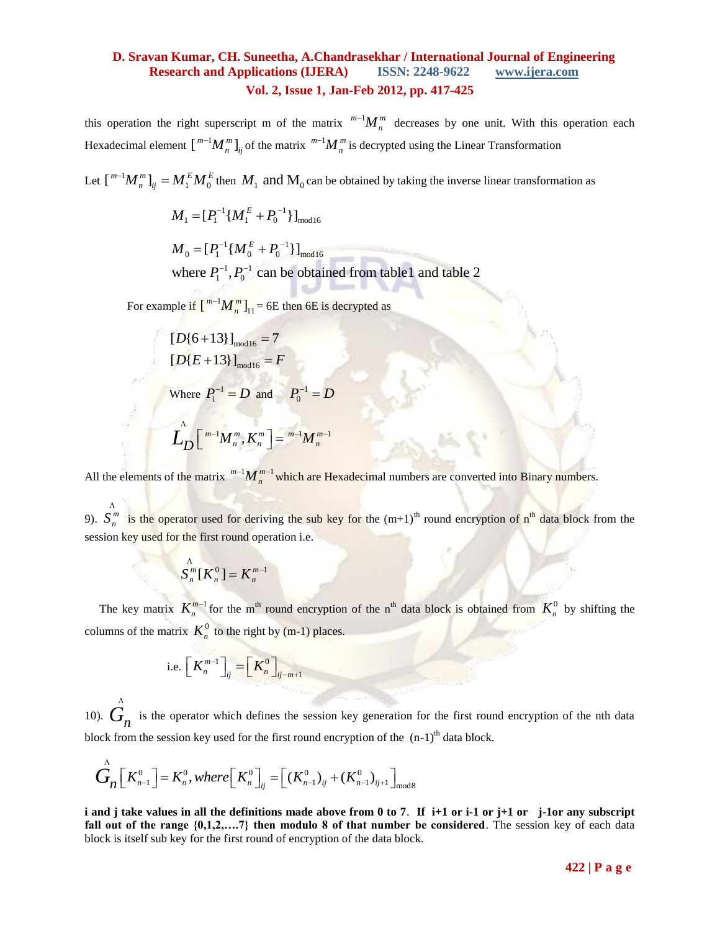this operation the right superscript m of the matrix  $^{m-1}M_n^m$  $d^{-1}M_n^m$  decreases by one unit. With this operation each Hexadecimal element  $\left[\right]^{m-1} M_n^m\right]_{ij}$  of the matrix  $\left[^{m-1}M_n^m\right]$  $i-M_n^m$  is decrypted using the Linear Transformation

Let  $\left[\begin{array}{c}m^{-1}M_{n}^{m}\end{array}\right]_{ij}=M_{1}^{E}M_{0}^{E}$  then  $M_{1}$  and  $M_{0}$  can be obtained by taking the inverse linear transformation as

$$
M_1 = [P_1^{-1}\{M_1^E + P_0^{-1}\}]_{\text{mod}16}
$$

 $^{1}$  { $M_{\circ}^{E}$  +  $P_{\circ}^{-1}$  $M_{1} = [P_{1}^{-1}\{M_{1}^{E} + P_{0}^{-1}\}]_{\text{mod}16}$ <br>  $M_{0} = [P_{1}^{-1}\{M_{0}^{E} + P_{0}^{-1}\}]_{\text{mod}16}$  $\begin{array}{c} \n^{1} \{ M_0^L \} \n^{1} \cdot P_0^{-1} \n\end{array}$  $^{-1}$  { $M_{\circ}^{E}$  +  $P_{\circ}^{-1}$ }]  $A^{-1}$ { $M_0^E + F$ <br> $A^{-1}$   $P_2^{-1}$  can  $\begin{aligned} = & \left[ P_1^{-1} \{ M_1^E + P_0^{-1} \} \right]_{\rm mod} \ \ = & \left[ P_1^{-1} \{ M_0^E + P_0^{-1} \} \right]_{\rm mod} \end{aligned}$ 

 $M_0 = [P_1^{-1} \{ M_0^E + P_0^{-1} \} ]_{\text{mod } 16}$ <br>where  $P_1^{-1}$ ,  $P_0^{-1}$  can be obtained from table 1 and table 2

For example if  $\left[\right]^{m-1}M_{n}^{m}\right]_{11}$  $\left\{ -1 \right\}$  $M_n^m$ <sub>11</sub> = 6E then 6E is decrypted as

$$
[D{6+13}]_{\text{mod 16}} = 7
$$
  
\n
$$
[D{E+13}]_{\text{mod 16}} = F
$$
  
\nWhere  $P_1^{-1} = D$  and  $P_0^{-1} = D$   
\n
$$
L_D \left[ \begin{array}{c} m^{-1}M_n^m, K_n^m \end{array} \right] = {}^{m^{-1}}M_n^{m^{-1}}
$$

All the elements of the matrix  $^{m-1}M_n^{m-1}$  $w_n^{\frac{m-1}{m}}$  which are Hexadecimal numbers are converted into Binary numbers.

9).  $S_n^m$  is the operator used for deriving the sub key for the  $(m+1)^{th}$  round encryption of n<sup>th</sup> data block from the session key used for the first round operation i.e.

$$
\stackrel{\Lambda}{S_n^m}[K_n^0] = K_n^{m-1}
$$

The key matrix  $K_n^{m-1}$ <sup>-1</sup> for the m<sup>th</sup> round encryption of the n<sup>th</sup> data block is obtained from  $K_n^0$  by shifting the columns of the matrix  $K_n^0$  to the right by (m-1) places.

i.e. 
$$
\left[K_n^{m-1}\right]_{ij} = \left[K_n^0\right]_{ij-m+1}
$$

10).  $G_n$  is the operator which defines the session key generation for the first round encryption of the nth data Λ

block from the session key used for the first round encryption of the (n-1)<sup>th</sup> data block.  
\n
$$
\overrightarrow{G}_n \left[ K_{n-1}^0 \right] = K_n^0, where \left[ K_n^0 \right]_{ij} = \left[ (K_{n-1}^0)_{ij} + (K_{n-1}^0)_{ij+1} \right]_{\text{mod } 8}
$$

**i and j take values in all the definitions made above from 0 to 7**. **If i+1 or i-1 or j+1 or j-1or any subscript fall out of the range {0,1,2,….7} then modulo 8 of that number be considered**. The session key of each data block is itself sub key for the first round of encryption of the data block.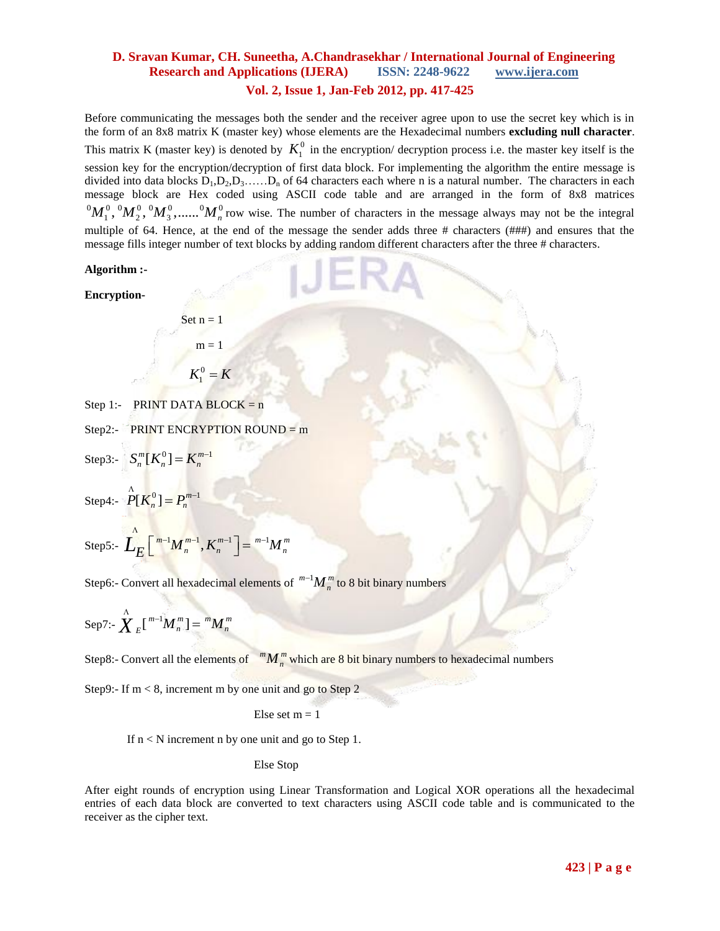Before communicating the messages both the sender and the receiver agree upon to use the secret key which is in the form of an 8x8 matrix K (master key) whose elements are the Hexadecimal numbers **excluding null character**. This matrix K (master key) is denoted by  $K_1^0$  in the encryption/ decryption process i.e. the master key itself is the session key for the encryption/decryption of first data block. For implementing the algorithm the entire message is divided into data blocks  $D_1, D_2, D_3, \ldots, D_n$  of 64 characters each where n is a natural number. The characters in each message block are Hex coded using ASCII code table and are arranged in the form of 8x8 matrices  ${}^0M_1^0$ ,  ${}^0M_2^0$ ,  ${}^0M_3^0$ ,.......  ${}^0M_n^0$  row wise. The number of characters in the message always may not be the integral multiple of 64. Hence, at the end of the message the sender adds three # characters (###) and ensures that the message fills integer number of text blocks by adding random different characters after the three # characters.

#### **Algorithm :-**

**Encryption-**

Set  $n = 1$  $m = 1$  $K_1^0 = K$ 

Step 1:- PRINT DATA BLOCK =  $n$ 

Step2:- PRINT ENCRYPTION ROUND =  $m$ 

Step3:-  $S_n^m[K_n^0] = K_n^{m-1}$ 

Step4:-  $P[K_n^0] = P_n^{m-1}$  $P[K_n^0] = P_n^{m-1}$ 

Step5:-  $\sum_{E}^{N} \left[ \sum_{m}^{m-1} M_{n}^{m-1}, K_{n}^{m-1} \right] = {}^{m-1} M_{n}^{m}$  $\sum_{n=1}^{N} \left[ \begin{array}{c} m^{-1} M_n^{m-1}, K_n^{m-1} \end{array} \right] = {}^{m-1}M$ 

Step6:- Convert all hexadecimal elements of  ${}^{m-1}M_{n}^{m}$  $t^{-1}M_{n}^{m}$  to 8 bit binary numbers

$$
\operatorname{Sep7:} \bigwedge^{\Lambda} {}_{E} \big[ {}^{m-1}M_{n}^{m} \big] = {}^{m}M_{n}^{m}
$$

Step8:- Convert all the elements of  $M_n^m$  which are 8 bit binary numbers to hexadecimal numbers

Step9:- If m < 8, increment m by one unit and go to Step 2

Else set  $m = 1$ 

If  $n < N$  increment n by one unit and go to Step 1.

#### Else Stop

After eight rounds of encryption using Linear Transformation and Logical XOR operations all the hexadecimal entries of each data block are converted to text characters using ASCII code table and is communicated to the receiver as the cipher text.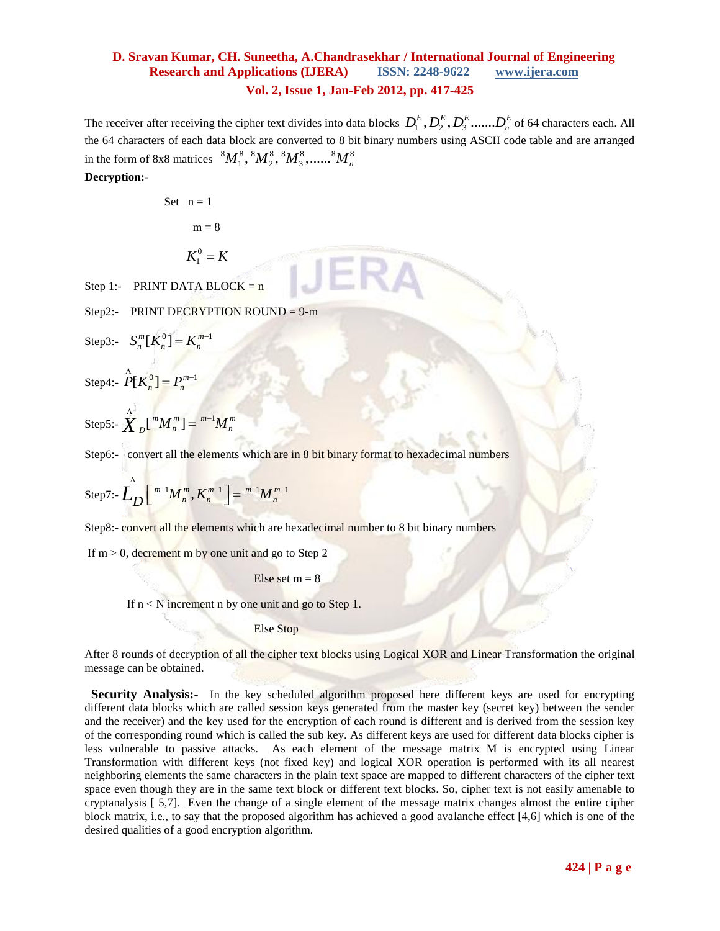The receiver after receiving the cipher text divides into data blocks  $D_1^E, D_2^E, D_3^E, \ldots, D_n^E$  of 64 characters each. All the 64 characters of each data block are converted to 8 bit binary numbers using ASCII code table and are arranged in the form of 8x8 matrices  ${}^8M_1^8, {}^8M_2^8, {}^8M_3^8, \ldots, {}^8M_n^8$ 

**Decryption:-** 

Set 
$$
n = 1
$$
  
 $m = 8$ 

 $K_1^0 = K$ 

Step 1:- PRINT DATA BLOCK =  $n$ 

Step2:- PRINT DECRYPTION ROUND =  $9\text{-m}$ 

Step3:- 
$$
S_n^m[K_n^0] = K_n^{m-1}
$$

Step4:-  $P[K_n^0] = P_n^{m-1}$  $P[K_n^0] = P_n^{m-1}$ 

Step 5: 
$$
\sum_{n=0}^{N} \left[\binom{m}{n} M_{n}^{m}\right] = \binom{m-1}{m} M_{n}^{m}
$$

Step6:- convert all the elements which are in 8 bit binary format to hexadecimal numbers

Step 7: 
$$
\mathbf{L}_{D} \left[ \begin{array}{c} m^{-1} M_{n}^{m}, K_{n}^{m-1} \end{array} \right] = \frac{m^{-1} M_{n}^{m-1}}{m}
$$

Step8:- convert all the elements which are hexadecimal number to 8 bit binary numbers

If  $m > 0$ , decrement m by one unit and go to Step 2

Else set  $m = 8$ 

If  $n < N$  increment n by one unit and go to Step 1.

Else Stop

After 8 rounds of decryption of all the cipher text blocks using Logical XOR and Linear Transformation the original message can be obtained.

**Security Analysis:-** In the key scheduled algorithm proposed here different keys are used for encrypting different data blocks which are called session keys generated from the master key (secret key) between the sender and the receiver) and the key used for the encryption of each round is different and is derived from the session key of the corresponding round which is called the sub key. As different keys are used for different data blocks cipher is less vulnerable to passive attacks. As each element of the message matrix M is encrypted using Linear Transformation with different keys (not fixed key) and logical XOR operation is performed with its all nearest neighboring elements the same characters in the plain text space are mapped to different characters of the cipher text space even though they are in the same text block or different text blocks. So, cipher text is not easily amenable to cryptanalysis [ 5,7]. Even the change of a single element of the message matrix changes almost the entire cipher block matrix, i.e., to say that the proposed algorithm has achieved a good avalanche effect [4,6] which is one of the desired qualities of a good encryption algorithm.